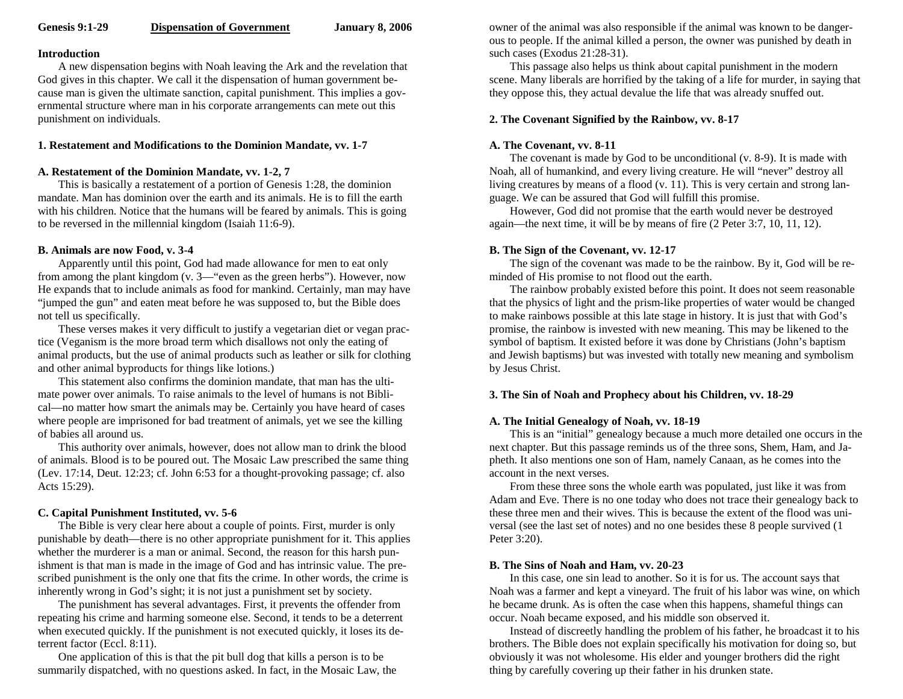#### **Introduction**

A new dispensation begins with Noah leaving the Ark and the revelation that God gives in this chapter. We call it the dispensation of human government because man is given the ultimate sanction, capital punishment. This implies a governmental structure where man in his corporate arrangements can mete out this punishment on individuals.

#### **1. Restatement and Modifications to the Dominion Mandate, vv. 1-7**

#### **A. Restatement of the Dominion Mandate, vv. 1-2, 7**

This is basically a restatement of a portion of Genesis 1:28, the dominion mandate. Man has dominion over the earth and its animals. He is to fill the earth with his children. Notice that the humans will be feared by animals. This is going to be reversed in the millennial kingdom (Isaiah 11:6-9).

#### **B. Animals are now Food, v. 3-4**

Apparently until this point, God had made allowance for men to eat only from among the plant kingdom (v. 3—"even as the green herbs"). However, now He expands that to include animals as food for mankind. Certainly, man may have "jumped the gun" and eaten meat before he was supposed to, but the Bible does not tell us specifically.

These verses makes it very difficult to justify a vegetarian diet or vegan practice (Veganism is the more broad term which disallows not only the eating of animal products, but the use of animal products such as leather or silk for clothing and other animal byproducts for things like lotions.)

This statement also confirms the dominion mandate, that man has the ultimate power over animals. To raise animals to the level of humans is not Biblical—no matter how smart the animals may be. Certainly you have heard of cases where people are imprisoned for bad treatment of animals, yet we see the killing of babies all around us.

This authority over animals, however, does not allow man to drink the blood of animals. Blood is to be poured out. The Mosaic Law prescribed the same thing (Lev. 17:14, Deut. 12:23; cf. John 6:53 for a thought-provoking passage; cf. also Acts 15:29).

## **C. Capital Punishment Instituted, vv. 5-6**

The Bible is very clear here about a couple of points. First, murder is only punishable by death—there is no other appropriate punishment for it. This applies whether the murderer is a man or animal. Second, the reason for this harsh punishment is that man is made in the image of God and has intrinsic value. The prescribed punishment is the only one that fits the crime. In other words, the crime is inherently wrong in God's sight; it is not just a punishment set by society.

The punishment has several advantages. First, it prevents the offender from repeating his crime and harming someone else. Second, it tends to be a deterrent when executed quickly. If the punishment is not executed quickly, it loses its deterrent factor (Eccl. 8:11).

One application of this is that the pit bull dog that kills a person is to be summarily dispatched, with no questions asked. In fact, in the Mosaic Law, the owner of the animal was also responsible if the animal was known to be dangerous to people. If the animal killed a person, the owner was punished by death in such cases (Exodus 21:28-31).

This passage also helps us think about capital punishment in the modern scene. Many liberals are horrified by the taking of a life for murder, in saying that they oppose this, they actual devalue the life that was already snuffed out.

## **2. The Covenant Signified by the Rainbow, vv. 8-17**

# **A. The Covenant, vv. 8-11**

The covenant is made by God to be unconditional (v. 8-9). It is made with Noah, all of humankind, and every living creature. He will "never" destroy all living creatures by means of a flood (v. 11). This is very certain and strong language. We can be assured that God will fulfill this promise.

However, God did not promise that the earth would never be destroyed again—the next time, it will be by means of fire (2 Peter 3:7, 10, 11, 12).

## **B. The Sign of the Covenant, vv. 12-17**

The sign of the covenant was made to be the rainbow. By it, God will be reminded of His promise to not flood out the earth.

The rainbow probably existed before this point. It does not seem reasonable that the physics of light and the prism-like properties of water would be changed to make rainbows possible at this late stage in history. It is just that with God's promise, the rainbow is invested with new meaning. This may be likened to the symbol of baptism. It existed before it was done by Christians (John's baptism and Jewish baptisms) but was invested with totally new meaning and symbolism by Jesus Christ.

## **3. The Sin of Noah and Prophecy about his Children, vv. 18-29**

## **A. The Initial Genealogy of Noah, vv. 18-19**

This is an "initial" genealogy because a much more detailed one occurs in the next chapter. But this passage reminds us of the three sons, Shem, Ham, and Japheth. It also mentions one son of Ham, namely Canaan, as he comes into the account in the next verses.

From these three sons the whole earth was populated, just like it was from Adam and Eve. There is no one today who does not trace their genealogy back to these three men and their wives. This is because the extent of the flood was universal (see the last set of notes) and no one besides these 8 people survived (1 Peter 3:20).

## **B. The Sins of Noah and Ham, vv. 20-23**

In this case, one sin lead to another. So it is for us. The account says that Noah was a farmer and kept a vineyard. The fruit of his labor was wine, on which he became drunk. As is often the case when this happens, shameful things can occur. Noah became exposed, and his middle son observed it.

Instead of discreetly handling the problem of his father, he broadcast it to his brothers. The Bible does not explain specifically his motivation for doing so, but obviously it was not wholesome. His elder and younger brothers did the right thing by carefully covering up their father in his drunken state.